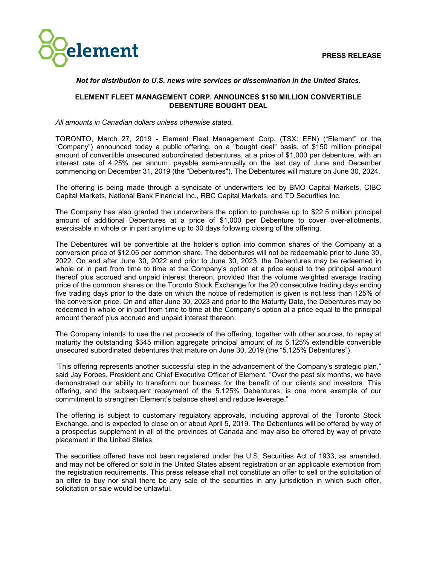

# *Not for distribution to U.S. news wire services or dissemination in the United States.*

# **ELEMENT FLEET MANAGEMENT CORP. ANNOUNCES \$150 MILLION CONVERTIBLE DEBENTURE BOUGHT DEAL**

*All amounts in Canadian dollars unless otherwise stated.*

TORONTO, March 27, 2019 - Element Fleet Management Corp. (TSX: EFN) ("Element" or the "Company") announced today a public offering, on a "bought deal" basis, of \$150 million principal amount of convertible unsecured subordinated debentures, at a price of \$1,000 per debenture, with an interest rate of 4.25% per annum, payable semi-annually on the last day of June and December commencing on December 31, 2019 (the "Debentures"). The Debentures will mature on June 30, 2024.

The offering is being made through a syndicate of underwriters led by BMO Capital Markets, CIBC Capital Markets, National Bank Financial Inc., RBC Capital Markets, and TD Securities Inc.

The Company has also granted the underwriters the option to purchase up to \$22.5 million principal amount of additional Debentures at a price of \$1,000 per Debenture to cover over-allotments, exercisable in whole or in part anytime up to 30 days following closing of the offering.

The Debentures will be convertible at the holder's option into common shares of the Company at a conversion price of \$12.05 per common share. The debentures will not be redeemable prior to June 30, 2022. On and after June 30, 2022 and prior to June 30, 2023, the Debentures may be redeemed in whole or in part from time to time at the Company's option at a price equal to the principal amount thereof plus accrued and unpaid interest thereon, provided that the volume weighted average trading price of the common shares on the Toronto Stock Exchange for the 20 consecutive trading days ending five trading days prior to the date on which the notice of redemption is given is not less than 125% of the conversion price. On and after June 30, 2023 and prior to the Maturity Date, the Debentures may be redeemed in whole or in part from time to time at the Company's option at a price equal to the principal amount thereof plus accrued and unpaid interest thereon.

The Company intends to use the net proceeds of the offering, together with other sources, to repay at maturity the outstanding \$345 million aggregate principal amount of its 5.125% extendible convertible unsecured subordinated debentures that mature on June 30, 2019 (the "5.125% Debentures").

"This offering represents another successful step in the advancement of the Company's strategic plan," said Jay Forbes, President and Chief Executive Officer of Element. "Over the past six months, we have demonstrated our ability to transform our business for the benefit of our clients and investors. This offering, and the subsequent repayment of the 5.125% Debentures, is one more example of our commitment to strengthen Element's balance sheet and reduce leverage."

The offering is subject to customary regulatory approvals, including approval of the Toronto Stock Exchange, and is expected to close on or about April 5, 2019. The Debentures will be offered by way of a prospectus supplement in all of the provinces of Canada and may also be offered by way of private placement in the United States.

The securities offered have not been registered under the U.S. Securities Act of 1933, as amended, and may not be offered or sold in the United States absent registration or an applicable exemption from the registration requirements. This press release shall not constitute an offer to sell or the solicitation of an offer to buy nor shall there be any sale of the securities in any jurisdiction in which such offer, solicitation or sale would be unlawful.